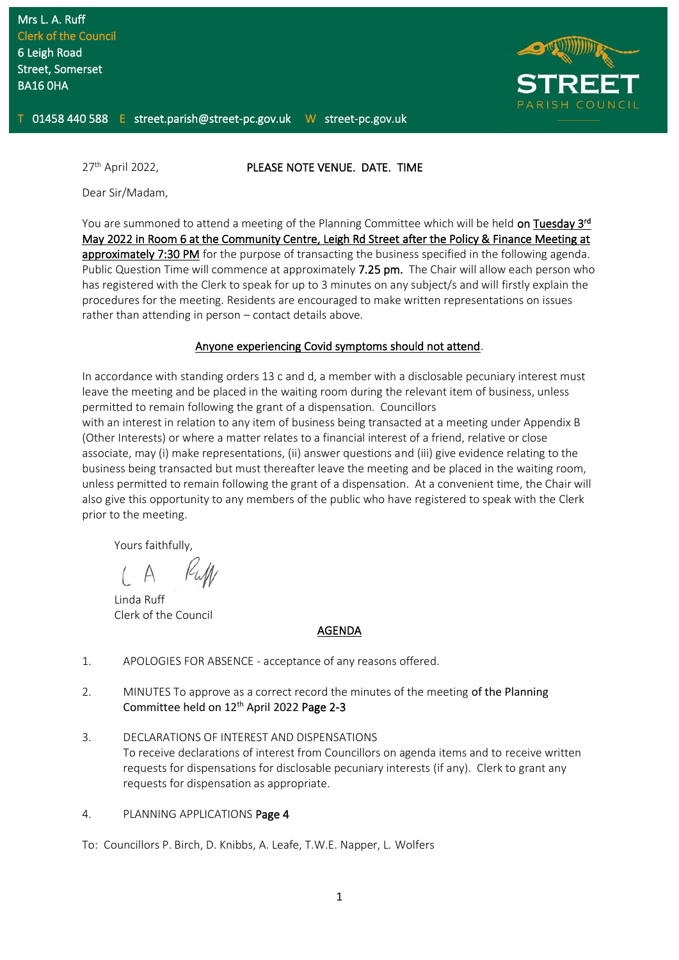

#### 27<sup>th</sup> April 2022. **PLEASE NOTE VENUE. DATE. TIME**

Dear Sir/Madam,

You are summoned to attend a meeting of the Planning Committee which will be held on Tuesday 3rd May 2022 in Room 6 at the Community Centre, Leigh Rd Street after the Policy & Finance Meeting at approximately 7:30 PM for the purpose of transacting the business specified in the following agenda. Public Question Time will commence at approximately 7.25 pm. The Chair will allow each person who has registered with the Clerk to speak for up to 3 minutes on any subject/s and will firstly explain the procedures for the meeting. Residents are encouraged to make written representations on issues rather than attending in person – contact details above.

#### Anyone experiencing Covid symptoms should not attend.

In accordance with standing orders 13 c and d, a member with a disclosable pecuniary interest must leave the meeting and be placed in the waiting room during the relevant item of business, unless permitted to remain following the grant of a dispensation. Councillors

with an interest in relation to any item of business being transacted at a meeting under Appendix B (Other Interests) or where a matter relates to a financial interest of a friend, relative or close associate, may (i) make representations, (ii) answer questions and (iii) give evidence relating to the business being transacted but must thereafter leave the meeting and be placed in the waiting room, unless permitted to remain following the grant of a dispensation. At a convenient time, the Chair will also give this opportunity to any members of the public who have registered to speak with the Clerk prior to the meeting.

Yours faithfully,

Linda Ruff Clerk of the Council

#### AGENDA

- 1. APOLOGIES FOR ABSENCE acceptance of any reasons offered.
- 2. MINUTES To approve as a correct record the minutes of the meeting of the Planning Committee held on 12<sup>th</sup> April 2022 Page 2-3
- 3. DECLARATIONS OF INTEREST AND DISPENSATIONS To receive declarations of interest from Councillors on agenda items and to receive written requests for dispensations for disclosable pecuniary interests (if any). Clerk to grant any requests for dispensation as appropriate.
- 4. PLANNING APPLICATIONS Page 4

To: Councillors P. Birch, D. Knibbs, A. Leafe, T.W.E. Napper, L. Wolfers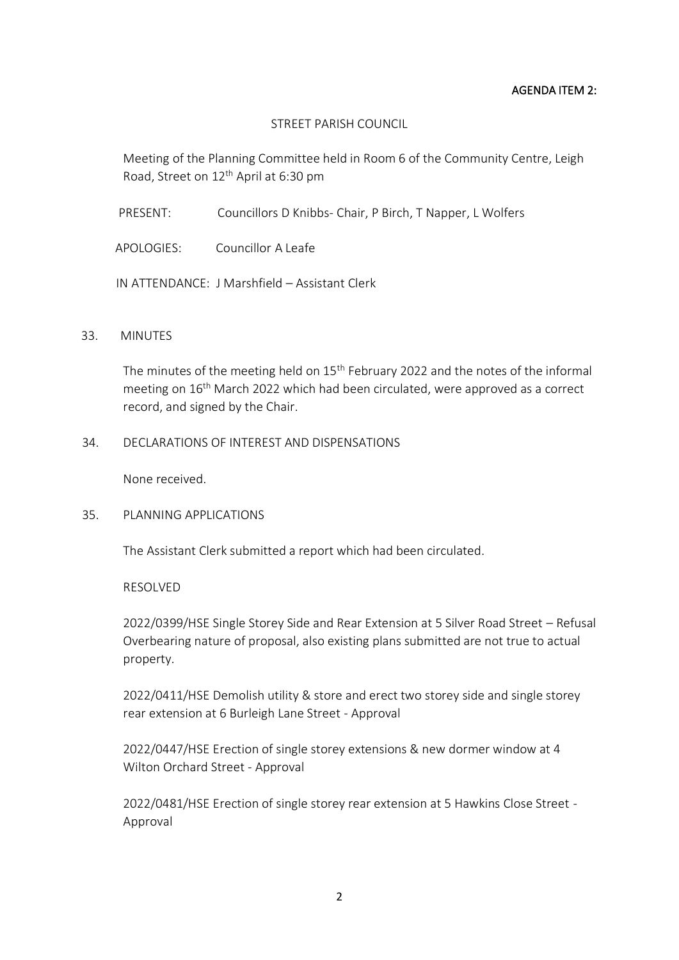### AGENDA ITEM 2:

## STREET PARISH COUNCIL

Meeting of the Planning Committee held in Room 6 of the Community Centre, Leigh Road, Street on 12<sup>th</sup> April at 6:30 pm

PRESENT: Councillors D Knibbs- Chair, P Birch, T Napper, L Wolfers

APOLOGIES: Councillor A Leafe

IN ATTENDANCE: J Marshfield – Assistant Clerk

### 33. MINUTES

The minutes of the meeting held on 15<sup>th</sup> February 2022 and the notes of the informal meeting on 16<sup>th</sup> March 2022 which had been circulated, were approved as a correct record, and signed by the Chair.

# 34. DECLARATIONS OF INTEREST AND DISPENSATIONS

None received.

# 35. PLANNING APPLICATIONS

The Assistant Clerk submitted a report which had been circulated.

RESOLVED

2022/0399/HSE Single Storey Side and Rear Extension at 5 Silver Road Street – Refusal Overbearing nature of proposal, also existing plans submitted are not true to actual property.

2022/0411/HSE Demolish utility & store and erect two storey side and single storey rear extension at 6 Burleigh Lane Street - Approval

2022/0447/HSE Erection of single storey extensions & new dormer window at 4 Wilton Orchard Street - Approval

2022/0481/HSE Erection of single storey rear extension at 5 Hawkins Close Street - Approval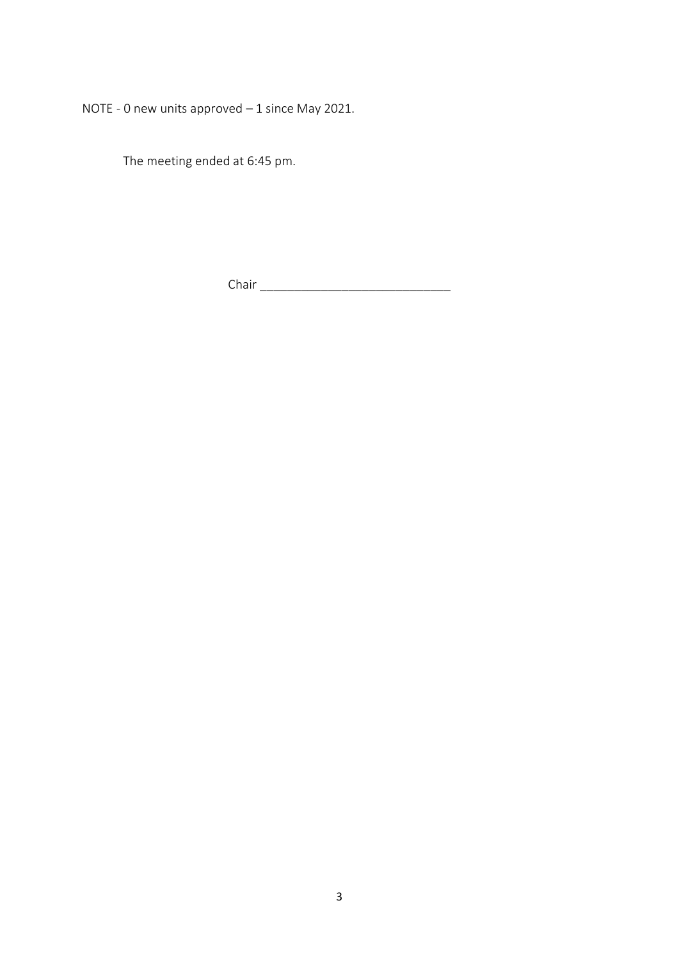NOTE - 0 new units approved – 1 since May 2021.

The meeting ended at 6:45 pm.

Chair \_\_\_\_\_\_\_\_\_\_\_\_\_\_\_\_\_\_\_\_\_\_\_\_\_\_\_\_